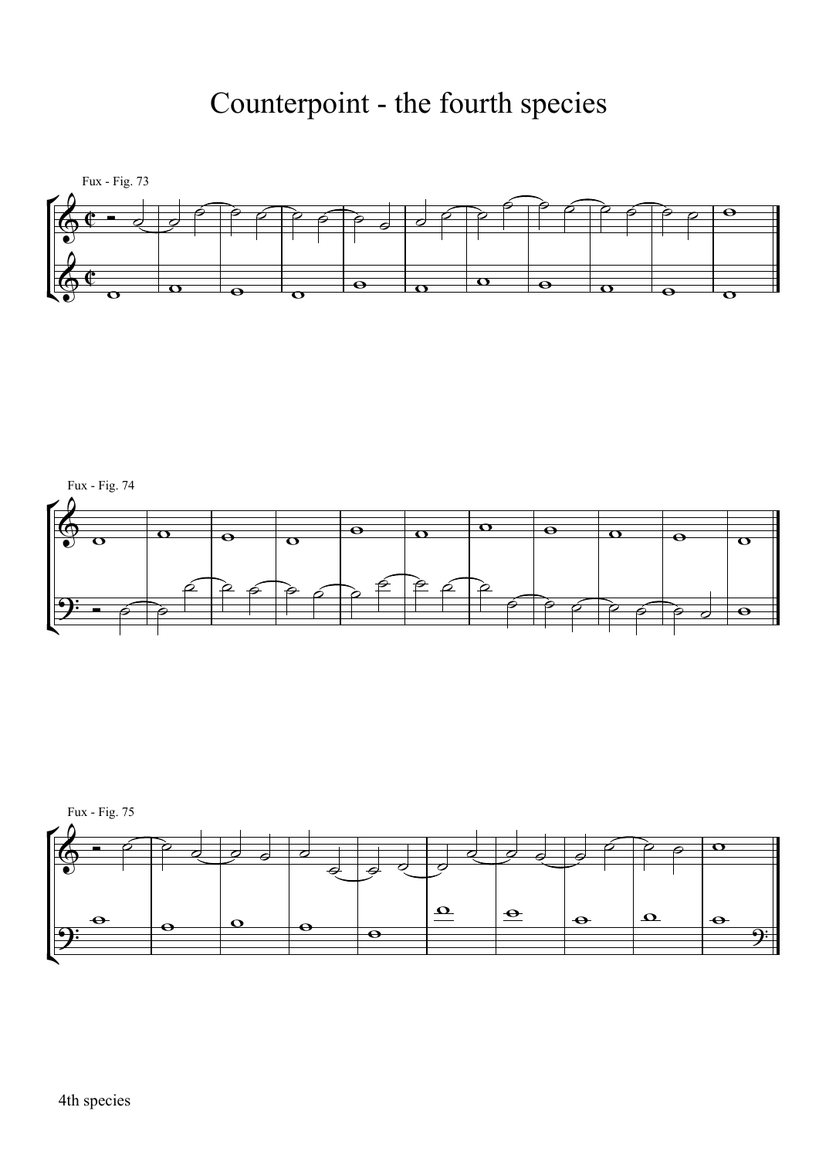## Counterpoint - the fourth species